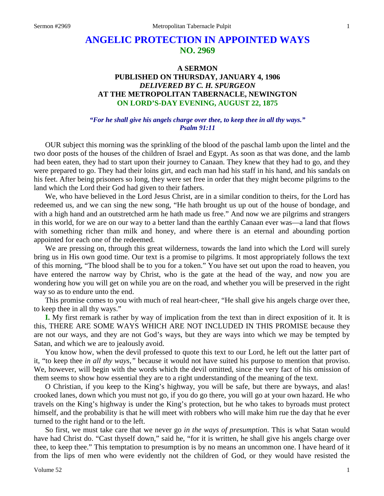# **ANGELIC PROTECTION IN APPOINTED WAYS NO. 2969**

## **A SERMON PUBLISHED ON THURSDAY, JANUARY 4, 1906** *DELIVERED BY C. H. SPURGEON* **AT THE METROPOLITAN TABERNACLE, NEWINGTON ON LORD'S-DAY EVENING, AUGUST 22, 1875**

#### *"For he shall give his angels charge over thee, to keep thee in all thy ways." Psalm 91:11*

OUR subject this morning was the sprinkling of the blood of the paschal lamb upon the lintel and the two door posts of the houses of the children of Israel and Egypt. As soon as that was done, and the lamb had been eaten, they had to start upon their journey to Canaan. They knew that they had to go, and they were prepared to go. They had their loins girt, and each man had his staff in his hand, and his sandals on his feet. After being prisoners so long, they were set free in order that they might become pilgrims to the land which the Lord their God had given to their fathers.

We, who have believed in the Lord Jesus Christ, are in a similar condition to theirs, for the Lord has redeemed us, and we can sing the new song, "He hath brought us up out of the house of bondage, and with a high hand and an outstretched arm he hath made us free." And now we are pilgrims and strangers in this world, for we are on our way to a better land than the earthly Canaan ever was—a land that flows with something richer than milk and honey, and where there is an eternal and abounding portion appointed for each one of the redeemed.

We are pressing on, through this great wilderness, towards the land into which the Lord will surely bring us in His own good time. Our text is a promise to pilgrims. It most appropriately follows the text of this morning, "The blood shall be to you for a token." You have set out upon the road to heaven, you have entered the narrow way by Christ, who is the gate at the head of the way, and now you are wondering how you will get on while you are on the road, and whether you will be preserved in the right way so as to endure unto the end.

This promise comes to you with much of real heart-cheer, "He shall give his angels charge over thee, to keep thee in all thy ways."

**I.** My first remark is rather by way of implication from the text than in direct exposition of it. It is this, THERE ARE SOME WAYS WHICH ARE NOT INCLUDED IN THIS PROMISE because they are not our ways, and they are not God's ways, but they are ways into which we may be tempted by Satan, and which we are to jealously avoid.

You know how, when the devil professed to quote this text to our Lord, he left out the latter part of it, "to keep thee *in all thy ways,"* because it would not have suited his purpose to mention that proviso. We, however, will begin with the words which the devil omitted, since the very fact of his omission of them seems to show how essential they are to a right understanding of the meaning of the text.

O Christian, if you keep to the King's highway, you will be safe, but there are byways, and alas! crooked lanes, down which you must not go, if you do go there, you will go at your own hazard. He who travels on the King's highway is under the King's protection, but he who takes to byroads must protect himself, and the probability is that he will meet with robbers who will make him rue the day that he ever turned to the right hand or to the left.

So first, we must take care that we never go *in the ways of presumption*. This is what Satan would have had Christ do. "Cast thyself down," said he, "for it is written, he shall give his angels charge over thee, to keep thee." This temptation to presumption is by no means an uncommon one. I have heard of it from the lips of men who were evidently not the children of God, or they would have resisted the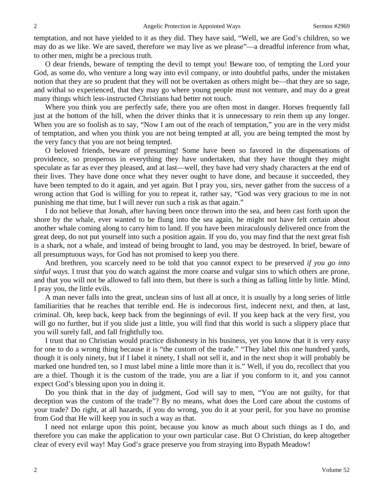temptation, and not have yielded to it as they did. They have said, "Well, we are God's children, so we may do as we like. We are saved, therefore we may live as we please"—a dreadful inference from what, to other men, might be a precious truth.

O dear friends, beware of tempting the devil to tempt you! Beware too, of tempting the Lord your God, as some do, who venture a long way into evil company, or into doubtful paths, under the mistaken notion that they are so prudent that they will not be overtaken as others might be—that they are so sage, and withal so experienced, that they may go where young people must not venture, and may do a great many things which less-instructed Christians had better not touch.

Where you think you are perfectly safe, there you are often most in danger. Horses frequently fall just at the bottom of the hill, when the driver thinks that it is unnecessary to rein them up any longer. When you are so foolish as to say, "Now I am out of the reach of temptation," you are in the very midst of temptation, and when you think you are not being tempted at all, you are being tempted the most by the very fancy that you are not being tempted.

O beloved friends, beware of presuming! Some have been so favored in the dispensations of providence, so prosperous in everything they have undertaken, that they have thought they might speculate as far as ever they pleased, and at last—well, they have had very shady characters at the end of their lives. They have done once what they never ought to have done, and because it succeeded, they have been tempted to do it again, and yet again. But I pray you, sirs, never gather from the success of a wrong action that God is willing for you to repeat it, rather say, "God was very gracious to me in not punishing me that time, but I will never run such a risk as that again."

I do not believe that Jonah, after having been once thrown into the sea, and been cast forth upon the shore by the whale, ever wanted to be flung into the sea again, he might not have felt certain about another whale coming along to carry him to land. If you have been miraculously delivered once from the great deep, do not put yourself into such a position again. If you do, you may find that the next great fish is a shark, not a whale, and instead of being brought to land, you may be destroyed. In brief, beware of all presumptuous ways, for God has not promised to keep you there.

And brethren, you scarcely need to be told that you cannot expect to be preserved *if you go into sinful ways*. I trust that you do watch against the more coarse and vulgar sins to which others are prone, and that you will not be allowed to fall into them, but there is such a thing as falling little by little. Mind, I pray you, the little evils.

A man never falls into the great, unclean sins of lust all at once, it is usually by a long series of little familiarities that he reaches that terrible end. He is indecorous first, indecent next, and then, at last, criminal. Oh, keep back, keep back from the beginnings of evil. If you keep back at the very first, you will go no further, but if you slide just a little, you will find that this world is such a slippery place that you will surely fall, and fall frightfully too.

I trust that no Christian would practice dishonesty in his business, yet you know that it is very easy for one to do a wrong thing because it is "the custom of the trade." "They label this one hundred yards, though it is only ninety, but if I label it ninety, I shall not sell it, and in the next shop it will probably be marked one hundred ten, so I must label mine a little more than it is." Well, if you do, recollect that you are a thief. Though it is the custom of the trade, you are a liar if you conform to it, and you cannot expect God's blessing upon you in doing it.

Do you think that in the day of judgment, God will say to men, "You are not guilty, for that deception was the custom of the trade"? By no means, what does the Lord care about the customs of your trade? Do right, at all hazards, if you do wrong, you do it at your peril, for you have no promise from God that He will keep you in such a way as that.

I need not enlarge upon this point, because you know as much about such things as I do, and therefore you can make the application to your own particular case. But O Christian, do keep altogether clear of every evil way! May God's grace preserve you from straying into Bypath Meadow!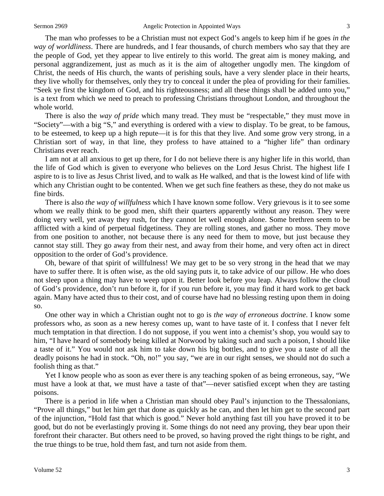The man who professes to be a Christian must not expect God's angels to keep him if he goes *in the way of worldliness*. There are hundreds, and I fear thousands, of church members who say that they are the people of God, yet they appear to live entirely to this world. The great aim is money making, and personal aggrandizement, just as much as it is the aim of altogether ungodly men. The kingdom of Christ, the needs of His church, the wants of perishing souls, have a very slender place in their hearts, they live wholly for themselves, only they try to conceal it under the plea of providing for their families. "Seek ye first the kingdom of God, and his righteousness; and all these things shall be added unto you," is a text from which we need to preach to professing Christians throughout London, and throughout the whole world.

There is also the *way of pride* which many tread. They must be "respectable," they must move in "Society"—with a big "S," and everything is ordered with a view to display. To be great, to be famous, to be esteemed, to keep up a high repute—it is for this that they live. And some grow very strong, in a Christian sort of way, in that line, they profess to have attained to a "higher life" than ordinary Christians ever reach.

I am not at all anxious to get up there, for I do not believe there is any higher life in this world, than the life of God which is given to everyone who believes on the Lord Jesus Christ. The highest life I aspire to is to live as Jesus Christ lived, and to walk as He walked, and that is the lowest kind of life with which any Christian ought to be contented. When we get such fine feathers as these, they do not make us fine birds.

There is also *the way of willfulness* which I have known some follow. Very grievous is it to see some whom we really think to be good men, shift their quarters apparently without any reason. They were doing very well, yet away they rush, for they cannot let well enough alone. Some brethren seem to be afflicted with a kind of perpetual fidgetiness. They are rolling stones, and gather no moss. They move from one position to another, not because there is any need for them to move, but just because they cannot stay still. They go away from their nest, and away from their home, and very often act in direct opposition to the order of God's providence.

Oh, beware of that spirit of willfulness! We may get to be so very strong in the head that we may have to suffer there. It is often wise, as the old saying puts it, to take advice of our pillow. He who does not sleep upon a thing may have to weep upon it. Better look before you leap. Always follow the cloud of God's providence, don't run before it, for if you run before it, you may find it hard work to get back again. Many have acted thus to their cost, and of course have had no blessing resting upon them in doing so.

One other way in which a Christian ought not to go is *the way of erroneous doctrine*. I know some professors who, as soon as a new heresy comes up, want to have taste of it. I confess that I never felt much temptation in that direction. I do not suppose, if you went into a chemist's shop, you would say to him, "I have heard of somebody being killed at Norwood by taking such and such a poison, I should like a taste of it." You would not ask him to take down his big bottles, and to give you a taste of all the deadly poisons he had in stock. "Oh, no!" you say, "we are in our right senses, we should not do such a foolish thing as that."

Yet I know people who as soon as ever there is any teaching spoken of as being erroneous, say, "We must have a look at that, we must have a taste of that"—never satisfied except when they are tasting poisons.

There is a period in life when a Christian man should obey Paul's injunction to the Thessalonians, "Prove all things," but let him get that done as quickly as he can, and then let him get to the second part of the injunction, "Hold fast that which is good." Never hold anything fast till you have proved it to be good, but do not be everlastingly proving it. Some things do not need any proving, they bear upon their forefront their character. But others need to be proved, so having proved the right things to be right, and the true things to be true, hold them fast, and turn not aside from them.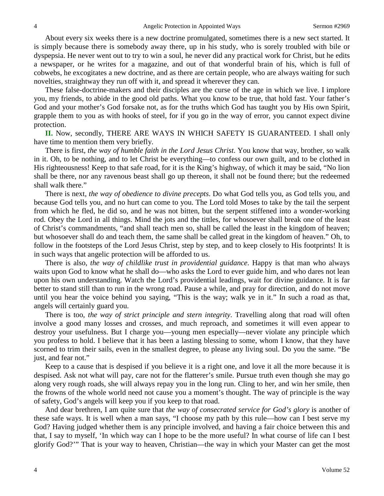About every six weeks there is a new doctrine promulgated, sometimes there is a new sect started. It is simply because there is somebody away there, up in his study, who is sorely troubled with bile or dyspepsia. He never went out to try to win a soul, he never did any practical work for Christ, but he edits a newspaper, or he writes for a magazine, and out of that wonderful brain of his, which is full of cobwebs, he excogitates a new doctrine, and as there are certain people, who are always waiting for such novelties, straightway they run off with it, and spread it wherever they can.

These false-doctrine-makers and their disciples are the curse of the age in which we live. I implore you, my friends, to abide in the good old paths. What you know to be true, that hold fast. Your father's God and your mother's God forsake not, as for the truths which God has taught you by His own Spirit, grapple them to you as with hooks of steel, for if you go in the way of error, you cannot expect divine protection.

**II.** Now, secondly, THERE ARE WAYS IN WHICH SAFETY IS GUARANTEED. I shall only have time to mention them very briefly.

There is first, *the way of humble faith in the Lord Jesus Christ*. You know that way, brother, so walk in it. Oh, to be nothing, and to let Christ be everything—to confess our own guilt, and to be clothed in His righteousness! Keep to that safe road, for it is the King's highway, of which it may be said, "No lion shall be there, nor any ravenous beast shall go up thereon, it shall not be found there; but the redeemed shall walk there."

There is next, *the way of obedience to divine precepts*. Do what God tells you, as God tells you, and because God tells you, and no hurt can come to you. The Lord told Moses to take by the tail the serpent from which he fled, he did so, and he was not bitten, but the serpent stiffened into a wonder-working rod. Obey the Lord in all things. Mind the jots and the tittles, for whosoever shall break one of the least of Christ's commandments, "and shall teach men so, shall be called the least in the kingdom of heaven; but whosoever shall do and teach them, the same shall be called great in the kingdom of heaven." Oh, to follow in the footsteps of the Lord Jesus Christ, step by step, and to keep closely to His footprints! It is in such ways that angelic protection will be afforded to us.

There is also, *the way of childlike trust in providential guidance*. Happy is that man who always waits upon God to know what he shall do—who asks the Lord to ever guide him, and who dares not lean upon his own understanding. Watch the Lord's providential leadings, wait for divine guidance. It is far better to stand still than to run in the wrong road. Pause a while, and pray for direction, and do not move until you hear the voice behind you saying, "This is the way; walk ye in it." In such a road as that, angels will certainly guard you.

There is too, *the way of strict principle and stern integrity*. Travelling along that road will often involve a good many losses and crosses, and much reproach, and sometimes it will even appear to destroy your usefulness. But I charge you—young men especially—never violate any principle which you profess to hold. I believe that it has been a lasting blessing to some, whom I know, that they have scorned to trim their sails, even in the smallest degree, to please any living soul. Do you the same. "Be just, and fear not."

Keep to a cause that is despised if you believe it is a right one, and love it all the more because it is despised. Ask not what will pay, care not for the flatterer's smile. Pursue truth even though she may go along very rough roads, she will always repay you in the long run. Cling to her, and win her smile, then the frowns of the whole world need not cause you a moment's thought. The way of principle is the way of safety, God's angels will keep you if you keep to that road.

And dear brethren, I am quite sure that *the way of consecrated service for God's glory* is another of these safe ways. It is well when a man says, "I choose my path by this rule—how can I best serve my God? Having judged whether them is any principle involved, and having a fair choice between this and that, I say to myself, 'In which way can I hope to be the more useful? In what course of life can I best glorify God?'" That is your way to heaven, Christian—the way in which your Master can get the most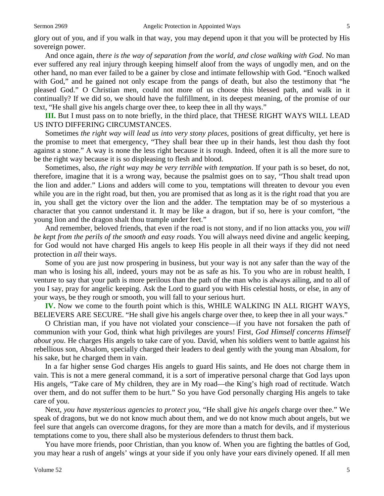glory out of you, and if you walk in that way, you may depend upon it that you will be protected by His sovereign power.

And once again, *there is the way of separation from the world, and close walking with God*. No man ever suffered any real injury through keeping himself aloof from the ways of ungodly men, and on the other hand, no man ever failed to be a gainer by close and intimate fellowship with God. "Enoch walked with God," and he gained not only escape from the pangs of death, but also the testimony that "he pleased God." O Christian men, could not more of us choose this blessed path, and walk in it continually? If we did so, we should have the fulfillment, in its deepest meaning, of the promise of our text, "He shall give his angels charge over thee, to keep thee in all thy ways."

**III.** But I must pass on to note briefly, in the third place, that THESE RIGHT WAYS WILL LEAD US INTO DIFFERING CIRCUMSTANCES.

Sometimes *the right way will lead us into very stony places,* positions of great difficulty, yet here is the promise to meet that emergency, "They shall bear thee up in their hands, lest thou dash thy foot against a stone." A way is none the less right because it is rough. Indeed, often it is all the more sure to be the right way because it is so displeasing to flesh and blood.

Sometimes, also, *the right way may be very terrible with temptation*. If your path is so beset, do not, therefore, imagine that it is a wrong way, because the psalmist goes on to say, "Thou shalt tread upon the lion and adder." Lions and adders will come to you, temptations will threaten to devour you even while you are in the right road, but then, you are promised that as long as it is the right road that you are in, you shall get the victory over the lion and the adder. The temptation may be of so mysterious a character that you cannot understand it. It may be like a dragon, but if so, here is your comfort, "the young lion and the dragon shalt thou trample under feet."

And remember, beloved friends, that even if the road is not stony, and if no lion attacks you, *you will be kept from the perils of the smooth and easy roads*. You will always need divine and angelic keeping, for God would not have charged His angels to keep His people in all their ways if they did not need protection in *all* their ways.

Some of you are just now prospering in business, but your way is not any safer than the way of the man who is losing his all, indeed, yours may not be as safe as his. To you who are in robust health, I venture to say that your path is more perilous than the path of the man who is always ailing, and to all of you I say, pray for angelic keeping. Ask the Lord to guard you with His celestial hosts, or else, in any of your ways, be they rough or smooth, you will fall to your serious hurt.

**IV.** Now we come to the fourth point which is this, WHILE WALKING IN ALL RIGHT WAYS, BELIEVERS ARE SECURE. "He shall give his angels charge over thee, to keep thee in all your ways."

O Christian man, if you have not violated your conscience—if you have not forsaken the path of communion with your God, think what high privileges are yours! First, *God Himself concerns Himself about you*. He charges His angels to take care of you. David, when his soldiers went to battle against his rebellious son, Absalom, specially charged their leaders to deal gently with the young man Absalom, for his sake, but he charged them in vain.

In a far higher sense God charges His angels to guard His saints, and He does not charge them in vain. This is not a mere general command, it is a sort of imperative personal charge that God lays upon His angels, "Take care of My children, they are in My road—the King's high road of rectitude. Watch over them, and do not suffer them to be hurt." So you have God personally charging His angels to take care of you.

Next, *you have mysterious agencies to protect you,* "He shall give *his angels* charge over thee." We speak of dragons, but we do not know much about them, and we do not know much about angels, but we feel sure that angels can overcome dragons, for they are more than a match for devils, and if mysterious temptations come to you, there shall also be mysterious defenders to thrust them back.

You have more friends, poor Christian, than you know of. When you are fighting the battles of God, you may hear a rush of angels' wings at your side if you only have your ears divinely opened. If all men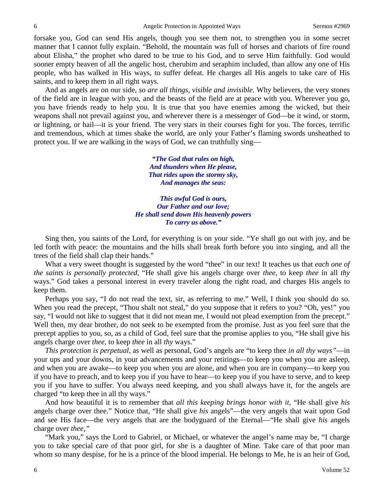forsake you, God can send His angels, though you see them not, to strengthen you in some secret manner that I cannot fully explain. "Behold, the mountain was full of horses and chariots of fire round about Elisha," the prophet who dared to be true to his God, and to serve Him faithfully. God would sooner empty heaven of all the angelic host, cherubim and seraphim included, than allow any one of His people, who has walked in His ways, to suffer defeat. He charges all His angels to take care of His saints, and to keep them in all right ways.

And as angels are on our side, *so are all things, visible and invisible*. Why believers, the very stones of the field are in league with you, and the beasts of the field are at peace with you. Wherever you go, you have friends ready to help you. It is true that you have enemies among the wicked, but their weapons shall not prevail against you, and wherever there is a messenger of God—be it wind, or storm, or lightning, or hail—it is your friend. The very stars in their courses fight for you. The forces, terrific and tremendous, which at times shake the world, are only your Father's flaming swords unsheathed to protect you. If we are walking in the ways of God, we can truthfully sing—

> *"The God that rules on high, And thunders when He please, That rides upon the stormy sky, And manages the seas:*

*This awful God is ours, Our Father and our love; He shall send down His heavenly powers To carry us above."*

Sing then, you saints of the Lord, for everything is on your side. "Ye shall go out with joy, and be led forth with peace: the mountains and the hills shall break forth before you into singing, and all the trees of the field shall clap their hands."

What a very sweet thought is suggested by the word "thee" in our text! It teaches us that *each one of the saints is personally protected,* "He shall give his angels charge over *thee,* to keep *thee* in all *thy* ways." God takes a personal interest in every traveler along the right road, and charges His angels to keep them.

Perhaps you say, "I do not read the text, sir, as referring to me." Well, I think you should do so. When you read the precept, "Thou shalt not steal," do you suppose that it refers to you? "Oh, yes!" you say, "I would not like to suggest that it did not mean me, I would not plead exemption from the precept." Well then, my dear brother, do not seek to be exempted from the promise. Just as you feel sure that the precept applies to you, so, as a child of God, feel sure that the promise applies to you, "He shall give his angels charge over *thee,* to keep *thee* in all *thy* ways."

*This protection is perpetual,* as well as personal, God's angels are "to keep thee *in all thy ways"*—in your ups and your downs, in your advancements and your retirings—to keep you when you are asleep, and when you are awake—to keep you when you are alone, and when you are in company—to keep you if you have to preach, and to keep you if you have to hear—to keep you if you have to serve, and to keep you if you have to suffer. You always need keeping, and you shall always have it, for the angels are charged "to keep thee in all thy ways."

And how beautiful it is to remember that *all this keeping brings honor with it,* "He shall give *his* angels charge over thee." Notice that, "He shall give *his* angels"—the very angels that wait upon God and see His face—the very angels that are the bodyguard of the Eternal—"He shall give *his* angels charge over *thee,"*

"Mark you," says the Lord to Gabriel, or Michael, or whatever the angel's name may be, "I charge you to take special care of that poor girl, for she is a daughter of Mine. Take care of that poor man whom so many despise, for he is a prince of the blood imperial. He belongs to Me, he is an heir of God,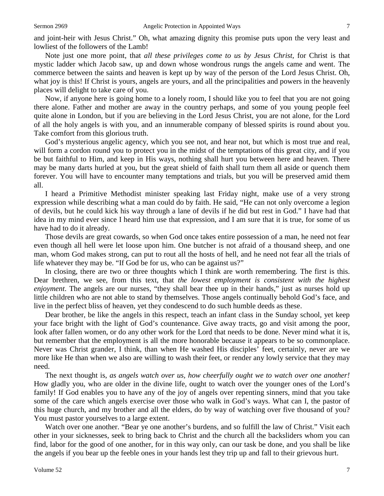and joint-heir with Jesus Christ." Oh, what amazing dignity this promise puts upon the very least and lowliest of the followers of the Lamb!

Note just one more point, that *all these privileges come to us by Jesus Christ,* for Christ is that mystic ladder which Jacob saw, up and down whose wondrous rungs the angels came and went. The commerce between the saints and heaven is kept up by way of the person of the Lord Jesus Christ. Oh, what joy is this! If Christ is yours, angels are yours, and all the principalities and powers in the heavenly places will delight to take care of you.

Now, if anyone here is going home to a lonely room, I should like you to feel that you are not going there alone. Father and mother are away in the country perhaps, and some of you young people feel quite alone in London, but if you are believing in the Lord Jesus Christ, you are not alone, for the Lord of all the holy angels is with you, and an innumerable company of blessed spirits is round about you. Take comfort from this glorious truth.

God's mysterious angelic agency, which you see not, and hear not, but which is most true and real, will form a cordon round you to protect you in the midst of the temptations of this great city, and if you be but faithful to Him, and keep in His ways, nothing shall hurt you between here and heaven. There may be many darts hurled at you, but the great shield of faith shall turn them all aside or quench them forever. You will have to encounter many temptations and trials, but you will be preserved amid them all.

I heard a Primitive Methodist minister speaking last Friday night, make use of a very strong expression while describing what a man could do by faith. He said, "He can not only overcome a legion of devils, but he could kick his way through a lane of devils if he did but rest in God." I have had that idea in my mind ever since I heard him use that expression, and I am sure that it is true, for some of us have had to do it already.

Those devils are great cowards, so when God once takes entire possession of a man, he need not fear even though all hell were let loose upon him. One butcher is not afraid of a thousand sheep, and one man, whom God makes strong, can put to rout all the hosts of hell, and he need not fear all the trials of life whatever they may be. "If God be for us, who can be against us?"

In closing, there are two or three thoughts which I think are worth remembering. The first is this. Dear brethren, we see, from this text, that *the lowest employment is consistent with the highest enjoyment*. The angels are our nurses, "they shall bear thee up in their hands," just as nurses hold up little children who are not able to stand by themselves. Those angels continually behold God's face, and live in the perfect bliss of heaven, yet they condescend to do such humble deeds as these.

Dear brother, be like the angels in this respect, teach an infant class in the Sunday school, yet keep your face bright with the light of God's countenance. Give away tracts, go and visit among the poor, look after fallen women, or do any other work for the Lord that needs to be done. Never mind what it is, but remember that the employment is all the more honorable because it appears to be so commonplace. Never was Christ grander, I think, than when He washed His disciples' feet, certainly, never are we more like He than when we also are willing to wash their feet, or render any lowly service that they may need.

The next thought is, *as angels watch over us, how cheerfully ought we to watch over one another!* How gladly you, who are older in the divine life, ought to watch over the younger ones of the Lord's family! If God enables you to have any of the joy of angels over repenting sinners, mind that you take some of the care which angels exercise over those who walk in God's ways. What can I, the pastor of this huge church, and my brother and all the elders, do by way of watching over five thousand of you? You must pastor yourselves to a large extent.

Watch over one another. "Bear ye one another's burdens, and so fulfill the law of Christ." Visit each other in your sicknesses, seek to bring back to Christ and the church all the backsliders whom you can find, labor for the good of one another, for in this way only, can our task be done, and you shall be like the angels if you bear up the feeble ones in your hands lest they trip up and fall to their grievous hurt.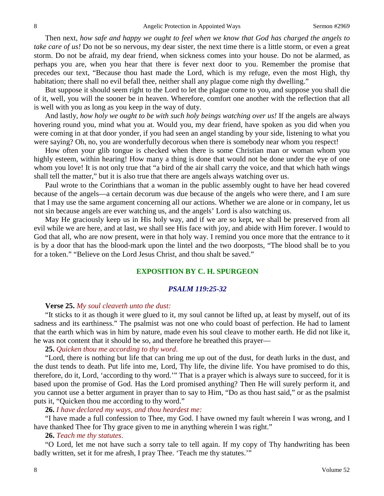Then next, *how safe and happy we ought to feel when we know that God has charged the angels to take care of us!* Do not be so nervous, my dear sister, the next time there is a little storm, or even a great storm. Do not be afraid, my dear friend, when sickness comes into your house. Do not be alarmed, as perhaps you are, when you hear that there is fever next door to you. Remember the promise that precedes our text, "Because thou hast made the Lord, which is my refuge, even the most High, thy habitation; there shall no evil befall thee, neither shall any plague come nigh thy dwelling."

But suppose it should seem right to the Lord to let the plague come to you, and suppose you shall die of it, well, you will the sooner be in heaven. Wherefore, comfort one another with the reflection that all is well with you as long as you keep in the way of duty.

And lastly, *how holy we ought to be with such holy beings watching over us!* If the angels are always hovering round you, mind what you at. Would you, my dear friend, have spoken as you did when you were coming in at that door yonder, if you had seen an angel standing by your side, listening to what you were saying? Oh, no, you are wonderfully decorous when there is somebody near whom you respect!

How often your glib tongue is checked when there is some Christian man or woman whom you highly esteem, within hearing! How many a thing is done that would not be done under the eye of one whom you love! It is not only true that "a bird of the air shall carry the voice, and that which hath wings shall tell the matter," but it is also true that there are angels always watching over us.

Paul wrote to the Corinthians that a woman in the public assembly ought to have her head covered because of the angels—a certain decorum was due because of the angels who were there, and I am sure that I may use the same argument concerning all our actions. Whether we are alone or in company, let us not sin because angels are ever watching us, and the angels' Lord is also watching us.

May He graciously keep us in His holy way, and if we are so kept, we shall be preserved from all evil while we are here, and at last, we shall see His face with joy, and abide with Him forever. I would to God that all, who are now present, were in that holy way. I remind you once more that the entrance to it is by a door that has the blood-mark upon the lintel and the two doorposts, "The blood shall be to you for a token." "Believe on the Lord Jesus Christ, and thou shalt be saved."

## **EXPOSITION BY C. H. SPURGEON**

### *PSALM 119:25-32*

## **Verse 25.** *My soul cleaveth unto the dust:*

"It sticks to it as though it were glued to it, my soul cannot be lifted up, at least by myself, out of its sadness and its earthiness." The psalmist was not one who could boast of perfection. He had to lament that the earth which was in him by nature, made even his soul cleave to mother earth. He did not like it, he was not content that it should be so, and therefore he breathed this prayer—

### **25.** *Quicken thou me according to thy word*.

"Lord, there is nothing but life that can bring me up out of the dust, for death lurks in the dust, and the dust tends to death. Put life into me, Lord, Thy life, the divine life. You have promised to do this, therefore, do it, Lord, 'according to thy word.'" That is a prayer which is always sure to succeed, for it is based upon the promise of God. Has the Lord promised anything? Then He will surely perform it, and you cannot use a better argument in prayer than to say to Him, "Do as thou hast said," or as the psalmist puts it, "Quicken thou me according to thy word."

#### **26.** *I have declared my ways, and thou heardest me:*

"I have made a full confession to Thee, my God. I have owned my fault wherein I was wrong, and I have thanked Thee for Thy grace given to me in anything wherein I was right."

#### **26.** *Teach me thy statutes*.

"O Lord, let me not have such a sorry tale to tell again. If my copy of Thy handwriting has been badly written, set it for me afresh, I pray Thee. 'Teach me thy statutes.'"